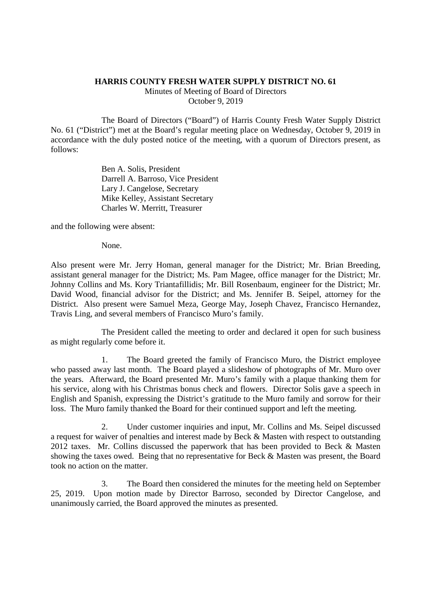## **HARRIS COUNTY FRESH WATER SUPPLY DISTRICT NO. 61**

Minutes of Meeting of Board of Directors October 9, 2019

The Board of Directors ("Board") of Harris County Fresh Water Supply District No. 61 ("District") met at the Board's regular meeting place on Wednesday, October 9, 2019 in accordance with the duly posted notice of the meeting, with a quorum of Directors present, as follows:

> Ben A. Solis, President Darrell A. Barroso, Vice President Lary J. Cangelose, Secretary Mike Kelley, Assistant Secretary Charles W. Merritt, Treasurer

and the following were absent:

None.

Also present were Mr. Jerry Homan, general manager for the District; Mr. Brian Breeding, assistant general manager for the District; Ms. Pam Magee, office manager for the District; Mr. Johnny Collins and Ms. Kory Triantafillidis; Mr. Bill Rosenbaum, engineer for the District; Mr. David Wood, financial advisor for the District; and Ms. Jennifer B. Seipel, attorney for the District. Also present were Samuel Meza, George May, Joseph Chavez, Francisco Hernandez, Travis Ling, and several members of Francisco Muro's family.

The President called the meeting to order and declared it open for such business as might regularly come before it.

1. The Board greeted the family of Francisco Muro, the District employee who passed away last month. The Board played a slideshow of photographs of Mr. Muro over the years. Afterward, the Board presented Mr. Muro's family with a plaque thanking them for his service, along with his Christmas bonus check and flowers. Director Solis gave a speech in English and Spanish, expressing the District's gratitude to the Muro family and sorrow for their loss. The Muro family thanked the Board for their continued support and left the meeting.

2. Under customer inquiries and input, Mr. Collins and Ms. Seipel discussed a request for waiver of penalties and interest made by Beck & Masten with respect to outstanding 2012 taxes. Mr. Collins discussed the paperwork that has been provided to Beck & Masten showing the taxes owed. Being that no representative for Beck & Masten was present, the Board took no action on the matter.

3. The Board then considered the minutes for the meeting held on September 25, 2019. Upon motion made by Director Barroso, seconded by Director Cangelose, and unanimously carried, the Board approved the minutes as presented.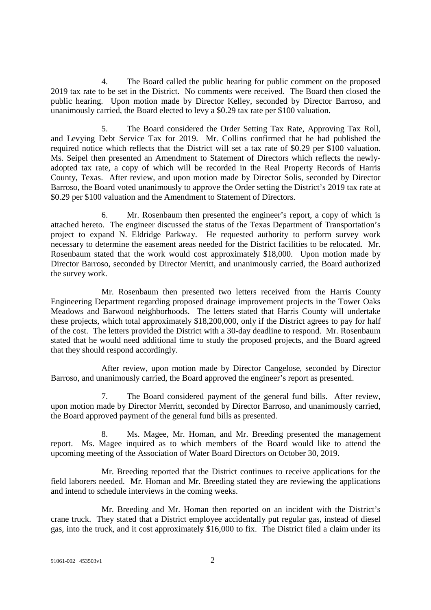4. The Board called the public hearing for public comment on the proposed 2019 tax rate to be set in the District. No comments were received. The Board then closed the public hearing. Upon motion made by Director Kelley, seconded by Director Barroso, and unanimously carried, the Board elected to levy a \$0.29 tax rate per \$100 valuation.

5. The Board considered the Order Setting Tax Rate, Approving Tax Roll, and Levying Debt Service Tax for 2019. Mr. Collins confirmed that he had published the required notice which reflects that the District will set a tax rate of \$0.29 per \$100 valuation. Ms. Seipel then presented an Amendment to Statement of Directors which reflects the newlyadopted tax rate, a copy of which will be recorded in the Real Property Records of Harris County, Texas. After review, and upon motion made by Director Solis, seconded by Director Barroso, the Board voted unanimously to approve the Order setting the District's 2019 tax rate at \$0.29 per \$100 valuation and the Amendment to Statement of Directors.

6. Mr. Rosenbaum then presented the engineer's report, a copy of which is attached hereto. The engineer discussed the status of the Texas Department of Transportation's project to expand N. Eldridge Parkway. He requested authority to perform survey work necessary to determine the easement areas needed for the District facilities to be relocated. Mr. Rosenbaum stated that the work would cost approximately \$18,000. Upon motion made by Director Barroso, seconded by Director Merritt, and unanimously carried, the Board authorized the survey work.

Mr. Rosenbaum then presented two letters received from the Harris County Engineering Department regarding proposed drainage improvement projects in the Tower Oaks Meadows and Barwood neighborhoods. The letters stated that Harris County will undertake these projects, which total approximately \$18,200,000, only if the District agrees to pay for half of the cost. The letters provided the District with a 30-day deadline to respond. Mr. Rosenbaum stated that he would need additional time to study the proposed projects, and the Board agreed that they should respond accordingly.

After review, upon motion made by Director Cangelose, seconded by Director Barroso, and unanimously carried, the Board approved the engineer's report as presented.

7. The Board considered payment of the general fund bills. After review, upon motion made by Director Merritt, seconded by Director Barroso, and unanimously carried, the Board approved payment of the general fund bills as presented.

8. Ms. Magee, Mr. Homan, and Mr. Breeding presented the management report. Ms. Magee inquired as to which members of the Board would like to attend the upcoming meeting of the Association of Water Board Directors on October 30, 2019.

Mr. Breeding reported that the District continues to receive applications for the field laborers needed. Mr. Homan and Mr. Breeding stated they are reviewing the applications and intend to schedule interviews in the coming weeks.

Mr. Breeding and Mr. Homan then reported on an incident with the District's crane truck. They stated that a District employee accidentally put regular gas, instead of diesel gas, into the truck, and it cost approximately \$16,000 to fix. The District filed a claim under its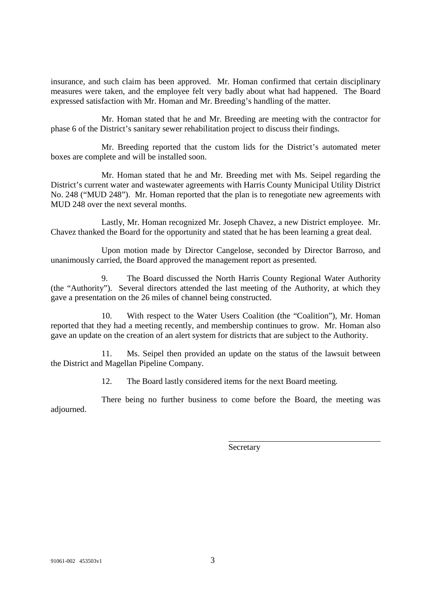insurance, and such claim has been approved. Mr. Homan confirmed that certain disciplinary measures were taken, and the employee felt very badly about what had happened. The Board expressed satisfaction with Mr. Homan and Mr. Breeding's handling of the matter.

Mr. Homan stated that he and Mr. Breeding are meeting with the contractor for phase 6 of the District's sanitary sewer rehabilitation project to discuss their findings.

Mr. Breeding reported that the custom lids for the District's automated meter boxes are complete and will be installed soon.

Mr. Homan stated that he and Mr. Breeding met with Ms. Seipel regarding the District's current water and wastewater agreements with Harris County Municipal Utility District No. 248 ("MUD 248"). Mr. Homan reported that the plan is to renegotiate new agreements with MUD 248 over the next several months.

Lastly, Mr. Homan recognized Mr. Joseph Chavez, a new District employee. Mr. Chavez thanked the Board for the opportunity and stated that he has been learning a great deal.

Upon motion made by Director Cangelose, seconded by Director Barroso, and unanimously carried, the Board approved the management report as presented.

9. The Board discussed the North Harris County Regional Water Authority (the "Authority"). Several directors attended the last meeting of the Authority, at which they gave a presentation on the 26 miles of channel being constructed.

10. With respect to the Water Users Coalition (the "Coalition"), Mr. Homan reported that they had a meeting recently, and membership continues to grow. Mr. Homan also gave an update on the creation of an alert system for districts that are subject to the Authority.

11. Ms. Seipel then provided an update on the status of the lawsuit between the District and Magellan Pipeline Company.

12. The Board lastly considered items for the next Board meeting.

There being no further business to come before the Board, the meeting was adjourned.

**Secretary**